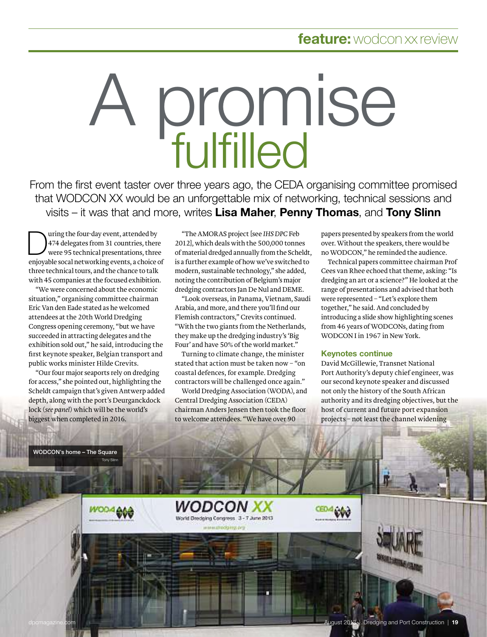# A promise fulfilled

From the first event taster over three years ago, the CEDA organising committee promised that WODCON XX would be an unforgettable mix of networking, technical sessions and visits – it was that and more, writes Lisa Maher, Penny Thomas, and Tony Slinn

 $\overline{D}$ uring the four-day event, attended by uring the rour-aay event, attended by<br>474 delegates from 31 countries, there 4/4 delegates from 31 countries, there<br>were 95 technical presentations, three were 95 technical presentations, three<br>enjoyable socal networking events, a choice of enjoyable socal networking events, a choice<br>three technical tours, and the chance to talk ree tecnnical tours, and the chance to talk<br>th 45 companies at the focused exhibition.

with 45 companies at the focused exhibition<br>We were concerned about the economic" we were concerned about the economic:"<br>Situation," organising committee chairman situation," organising committee chairm<br>Eric Van den Eade stated as he welcomed eric van den eade stated as ne welcom<br>attendees at the 20th World Dredging attendees at the 20th world Dredging<br>Congress opening ceremony, "but we have Congress opening ceremony, "but we hav<br>succeeded in attracting delegates and the succeeded in attracting delegates and the<br>exhibition sold out," he said, introducing the exnibition sold out," he said, introducing the<br>first keynote speaker, Belgian transport and st keynote speaker, Belgian transj<br>iblic works minister Hilde Crevits.

public works minister Hilde Crevits.<br>"Our four major seaports rely on dredging "Our four major seaports rely on dredging<br>for access," she pointed out, highlighting the ror access," sne pointed out, nigniignting the<br>Scheldt campaign that's given Antwerp added scheldt campaign that s given Antwerp adde<br>depth, along with the port's Deurganckdock aeptn, along with the port's Deurganck<br>lock (*see panel*) which will be the world's biggest when completed in 2016.

"The AMORAS project [see *IHS DPC* Feb 2012],The AMORAS project [see IHS DPC Feb"<br>2012], which deals with the 500,000 tonnes 2012), which deals with the S00,000 tonnes<br>of material dredged annually from the Scheldt, or material dredged annually from the Scheldt<br>is a further example of how we've switched to is a further example of now we've switched t<br>modern, sustainable technology," she added, modern, sustainable technology," sne adde<br>noting the contribution of Belgium's major rting the contribution or Beigium s major<br>edging contractors Jan De Nul and DEME.

areaging contractors jan De Nui and DEME.<br>"Look overseas, in Panama, Vietnam, Saudi Look overseas, in Panama, Vietnam, Sa'''<br>Arabia, and more, and there you'll find our Arabia, and more, and there you ii find ou<br>Flemish contractors," Crevits continued. riemish contractors," Grevits continued.<br>"With the two giants from the Netherlands, with the two giants from the Netherland<br>they make up the dredging industry's 'Big ey make up the dredging industry's "Big<br>ur" and have 50% of the world market."

Four" and have 50% of the world market."<br>Turning to climate change, the minister rurning to climate change, the minister<br>stated that action must be taken now – "on stated that action must be taken now –<br>coastal defences, for example. Dredging astal defences, for example. Dredging<br>ntractors will be challenged once again."

contractors will be challenged once again."<br>World Dredging Association (WODA), and world Dredging Association (WODA<br>Central Dredging Association (CEDA) Central Dreaging Association (CEDA)<br>chairman Anders Jensen then took the floor to welcome attendees. "We have over 90

WODCON XX World Dredging Congress 3 - 7 June 2013 **MARINE OTOMOGRAPHY, CAT** 

papers presented by speakers from the world papers presented by speakers from the worl<br>over. Without the speakers, there would be er. without the speakers, there would b<br>WODCON," he reminded the audience.

no WODCON," ne reminaea the audience.<br>Technical papers committee chairman Prof rechnical papers committee chairman Prof<br>Cees van Rhee echoed that theme, asking: "Is Gees van Knee ecnoed that theme, asking: "is<br>dredging an art or a science?" He looked at the areaging an art or a science?" He looked at tr<br>range of presentations and advised that both range or presentations and advised that<br>were represented – "Let's explore them were represented – "Let's explore the<br>together," he said. And concluded by together," he said. And concluded by<br>introducing a slide show highlighting scenes introaucing a silae snow nighlighting scel<br>from 46 years of WODCONs, dating from WODCON I in 1967 in New York.

### Keynotes continue

David McGhlewie, Transnet National David McGillewie, Transnet National<br>Port Authority's deputy chief engineer, was Port Authority's deputy chief engineer, wa<br>our second keynote speaker and discussed our second keynote speaker and discusse<br>not only the history of the South African not only the history or the South African<br>authority and its dredging objectives, but the authority and its dredging objectives, but<br>host of current and future port expans<mark>ion</mark> – not least the channel widening

WODCON's home – The Square



**Tony Slin** 

gust 2013 | Dredging and Port Construction | 19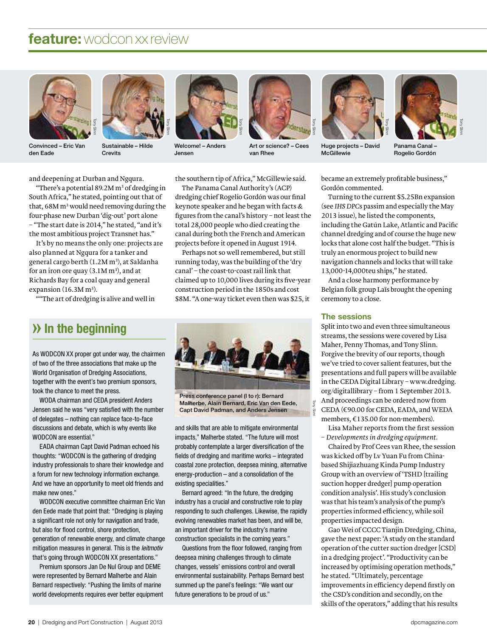



Convinced – Eric Van den Eade

Sustainable–Hilde Crevits



Welcome!–Anders Jensen

Tony Slinn



Art or science?–Cees van Rhee



Huge projects–David McGillewie



Panama Canal – Rogelio Gordón

and deepening at Durban and Ngqura.

"There's a potential  $89.2M m<sup>3</sup>$  of dredging in South Africa," he stated, pointing out that of that, 68M m<sup>3</sup> would need removing during the four-phase new Durban 'dig-out' port alone – "The start date is 2014," he stated, "and it's the most ambitious project Transnet has."

It's by no means the only one: projects are also planned at Ngqura for a tanker and general cargo berth (1.2M m<sup>3</sup>), at Saldanha for an iron ore quay  $(3.1M \, \text{m}^3)$ , and at Richards Bay for a coal quay and general expansion  $(16.3M m<sup>3</sup>)$ .

""The art of dredging is alive and well in

the southern tip of Africa," McGillewie said.

The Panama Canal Authority's (ACP) dredging chief Rogelio Gordón was our final keynote speaker and he began with facts & figures from the canal's history  $-$  not least the total 28,000 people who died creating the canal during both the French and American projects before it opened in August 1914.

Perhaps not so well remembered, but still running today, was the building of the 'dry canal' – the coast-to-coastrail link that claimed up to 10,000 lives during its five-year construction period in the 1850s and cost \$8M. "A one-way ticket even then was \$25, it

## **» In the beginning**

As WODCON XX proper got under way, the chairmen of two of the three associations that make up the World Organisation of Dredging Associations, together with the event's two premium sponsors, took the chance to meet the press.

WODA chairman and CEDA president Anders Jensen said he was "very satisfied with the number of delegates–nothing can replace face-to-face discussions and debate, which is why events like WODCON are essential."

EADA chairman Capt David Padman echoed his thoughts: "WODCON is the gathering of dredging industry professionals to share their knowledge and a forum for new technology information exchange. And we have an opportunity to meet old friends and make new ones."

WODCON executive committee chairman Eric Van den Eede made that point that: "Dredging is playing a significant role not only for navigation and trade, but also for flood control, shore protection, generation of renewable energy, and climate change mitigation measures in general. This is the leitmotiv that's going through WODCON XX presentations."

Premium sponsors Jan De Nul Group and DEME were represented by Bernard Malherbe and Alain Bernard respectively: "Pushing the limits of marine world developments requires ever better equipment



Press conference panel (l to r): Bernard Malherbe, Alain Bernard, Eric Van den Eede, Capt David Padman, and Anders Jensen

and skills that are able to mitigate environmental impacts," Malherbe stated. "The future will most probably contemplate a larger diversification of the fields of dredging and maritime works–integrated coastal zone protection, deepsea mining, alternative energy-production–and a consolidation of the existing specialities."

Bernard agreed: "In the future, the dredging industry has a crucial and constructive role to play responding to such challenges. Likewise, the rapidly evolving renewables market has been, and will be, an important driver for the industry's marine construction specialists in the coming years."

Questions from the floor followed, ranging from deepsea mining challenges through to climate changes, vessels' emissions control and overall environmental sustainability. Perhaps Bernard best summed up the panel's feelings: "We want our future generations to be proud of us."

became an extremely profitable business," Gordón commented.

Turning to the current \$5.25Bn expansion (see *IHS DPC*s passim and especially the May 2013 issue), he listed the components, including the Gatún Lake, Atlantic and Pacific channel dredging and of course the huge new locks that alone cost half the budget. "This is truly an enormous project to build new navigation channels and locks that will take 13,000-14,000teu ships," he stated.

And a close harmony performance by Belgian folk group Laïs brought the opening ceremony to a close.

#### The sessions

 $\overline{q}$ Slinn

Split into two and even three simultaneous streams, the sessions were covered by Lisa Maher, Penny Thomas, and Tony Slinn. Forgive the brevity of our reports, though we've tried to cover salient features, but the presentations and full papers will be available in the CEDA Digital Library–www.dredging. org/digitallibrary - from 1 September 2013. And proceedings can be ordered now from

CEDA (€90.00 for CEDA, EADA, and WEDA members, €135.00 for non-members).

Lisa Maher reports from the first session – *Developments in dredging equipment.*

Chaired by Prof Cees van Rhee, the session was kicked off by Lv Yuan Fu from Chinabased Shijiazhuang Kinda Pump Industry Group with an overview of 'TSHD [trailing suction hopper dredger] pump operation condition analysis'. His study's conclusion was that his team's analysis of the pump's properties informed efficiency, while soil properties impacted design.

Gao Wei of CCCC Tianjin Dredging, China, gave the next paper: 'A study on the standard operation ofthe cutter suction dredger [CSD] in a dredging project'. "Productivity can be increased by optimising operation methods," he stated. "Ultimately, percentage improvements in efficiency depend firstly on the CSD's condition and secondly, on the skills of the operators," adding that his results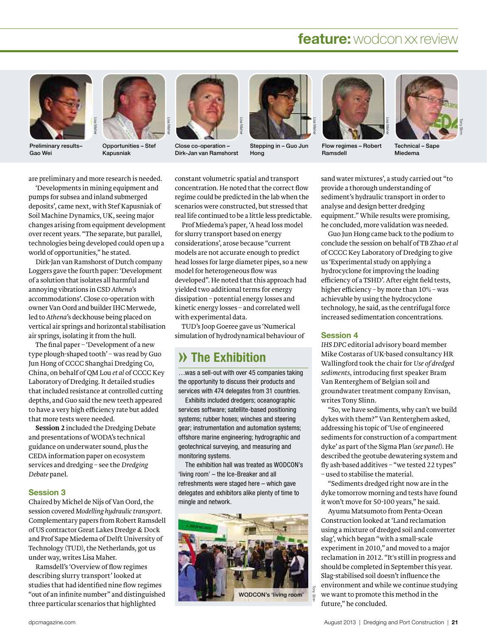



Preliminary results– Gao Wei





Close co-operation – Dirk-Jan van Ramshorst



Stepping in – Guo Jun Hong



Flow regimes–Robert Ramsdell



Technical – Sape Miedema

e preliminary and more research is needed.<br>'Developments in mining equipment and

for the infinity equipment<br>pumps for subsea and inland submerged pumps for subsea and inland submerged pumps for subsea and inland submerged<br>deposits', came next, with Stef Kapusniak of<br>Soil Machine Dynamics, UK, seeing major soil Machine Dynamics, UK, seeing major<br>changes arising from equipment development changes arising from equipment developmen<br>over recent vears. "The separate, but parallel, over recent years. "The separate, but parallel,<br>technologies being developed could open up a technologies being developed coul<br>world of opportunities." he stated. world of opportunities," he stated.

world of opportunities," he stated.<br>Dirk-Jan van Ramshorst of Dutch company<br>Loggers gave the fourth paper: 'Development Loggers gave the fourth paper: 'Developn<br>of a solution that isolates all harmful and of a solution that isolates all harmful<br>annoving vibrations in CSD *Athena*'s annoving vibrations in CSD Athena's annoying vibrations in CSD A*thena'*s<br>accommodations'. Close co-operation with accommodations'. Close co-operation with<br>owner Van Oord and builder IHC Merwede,<br>led to *Athena*'s deckhouse being placed on led to A*thena'*s deckhouse being placed on<br>vertical air springs and horizontal stabilisation vertical air springs and horizontal sta<br>air springs, isolating it from the hull. air springs, isolating it from the hull.

air springs, isolating it from the hull.<br>The final paper – 'Development of a new<br>type plough-shaped tooth' – was read by Guo type plough-shaped tooth' - was read by Guo type plough-shaped tooth' – was read by G<br>Iun Hong of CCCC Shanghai Dredging Co. Jun Hong of CCCC Shanghai Dredging Co,<br>China, on behalf of QM Lou *et al* of CCCC Key<br>Laboratory of Dredging. It detailed studies Laboratory of Dredging. It detailed studies<br>that included resistance at controlled cutting that included resistance at controlled cutting<br>depths, and Guo said the new teeth appeared depths, and Guo said the new teeth appeare<br>to have a very high efficiency rate but added to have a very high efficiency<br>that more tests were needed. that more tests were needed.<br>Session 2 included the Dredging Debate

and presentations of WODA's technical<br>guidance on underwater sound, plus the guidance on underwater sound, plus th<br>CEDA information paper on ecosystem of CEDA information paper on ecosystem<br>services and dredging – see the *Dredging* services and dredging – see the Dredging<br>Debate panel.

#### Session 3

<mark>Session 3</mark><br>Chaired by Michel de Nijs of Van Oord, the<br>session covered Modelling hudraulic transport. session covered Modelling hydraulic transport. Complementary papers from Robert Ramsdell<br>of US contractor Great Lakes Dredge & Dock of US contractor Great Lakes Dredge & Dock<br>and Prof Sape Miedema of Delft University of and Prof Sape Miedema of Delft University<br>Technology (TUD), the Netherlands, got us Technology (TUD), the Netherlands, got us der way, writes Lisa Maher.

under way, writes Lisa Maher.<br>Ramsdell's 'Overview of flow regimes<br>describing slurry transport' looked at describing slurry transport' looked at describing slurry transport' looked at<br>studies that had identified nine flow regimes<br>"out of an infinite number" and distinguished out of an infinite number" and distinguisl<br>three particular scenarios that highlighted

constant volumetric spatial and transport<br>concentration. He noted that the correct flow concentration. He noted that the correct flow<br>regime could be predicted in the lab when the regime could be predicted in the lab when th<mark>e</mark><br>scenarios were constructed, but stressed that scenarios were constructed, but stressed that al life continued to be a little less predictable.<br>Prof Miedema's paper, 'A head loss model

Lisa Maher

Prof Miedema's paper, 'A head loss<br>for slurry transport based on energy for slurry transport based on energy for slurry transport based on energy<br>considerations', arose because "current<br>models are not accurate enough to predict models are not accurate enough to predict<br>head losses for large diameter pipes, so a new head losses for large diameter pipe<br>model for heterogeneous flow was model for heterogeneous flow was model for heterogeneous flow was<br>developed". He noted that this approach had<br>vielded two additional terms for energy yielded two additional terms for energy<br>dissipation – potential energy losses and dissipation - potential energy losses and dissipation – potential energy losses and<br>kinetic energy losses – and correlated well<br>with experimental data. with experimental data.

TUD's Joop Goeree gave us 'Numerical simulation of hydrodynamical behaviour of

## **» The Exhibition**

…was a sell-out with over 45 companies taking the opportunity to discuss their products and services with 474 delegates from 31 countries.

Exhibits included dredgers; oceanographic services software; satellite-based positioning systems; rubber hoses; winches and steering gear; instrumentation and automation systems; offshore marine engineering; hydrographic and geotechnical surveying, and measuring and monitoring systems.

The exhibition hall was treated as WODCON's 'living room' – the Ice-Breaker and all refreshments were staged here–which gave delegates and exhibitors alike plenty of time to mingle and network.



sand water mixtures', a study carried out "to<br>provide a thorough understanding of provide a thorough understanding of provide a thorough understanding of<br>sediment's hydraulic transport in order to -<br>sediment's hydraulic transport in c<br>analvse and design better dredging analyse and design better dredging<br>equipment." While results were promising,<br>he concluded, more validation was needed. .<br>Guo Jun Hong came back to the podium to:<br>Guo Jun Hong came back to the podium to

Guo Jun Hong came back to the podium to Guo Jun Hong came back to the podium to<br>conclude the session on behalf of TB Zhao *et al*<br>of CCCC Key Laboratory of Dredging to give of CCCC Key Laboratory of Dredging<br>us 'Experimental study on applying a us 'Experimental study on applying a<br>hydrocyclone for improving the loading hydrocyclone for improving the loading<br>efficiency of a TSHD'. After eight field tests, efficiency of a TSHD<sup>2</sup>. After eight field tests<br>higher efficiency – by more than 10% – was higher efficiency – by more than 10%<br>achievable by using the hydrocyclone achievable by using the hydrocyclone achievable by using the hydrocyclone<br>technology, he said, as the centrifugal force<br>increased sedimentation concentrations.

#### Session 4

**Session 4**<br>IHS DPC editorial advisory board member IHS DPC editorial advisory board member<br>Mike Costaras of UK-based consultancy HR<br>Wallingford took the chair for *Use of dredged sediments*, introducing first speaker Bram Van Renterghem of Belgian soil and Van Renterghem of Belgian soil and groundwater treatment company Envisan, rites Tony Slinn.

writes Tony Slinn.<br>"So, we have sediments, why can't we build<br>dykes with them?" Van Renterghem asked. dykes with them?" Van Renterghem aske<br>addressing his topic of 'Use of engineered addressing his topic of 'Use of engineered addressing his topic of 'Use of engineered<br>sediments for construction of a compartment<br>dyke' as part of the Sigma Plan (*see panel*). He dyke' as part of the Sigma Plan (*see panel*). He<br>described the geotube dewatering system and described the geotube dewatering system and<br>fly ash-based additives – "we tested 22 types" fly ash-based additives – "we te<br>– used to stabilise the material. - used to stabilise the material.

- used to stabilise the material.<br>
"Sediments dredged right now are in the<br>
dyke tomorrow morning and tests have found dyke tomorrow morning and tests have<br>it won't move for 50-100 vears." he said. it won't move for 50-100 years," he said.

Ayumu Matsumoto from Penta-Ocean<br>Construction looked at 'Land reclamation Construction looked at 'Land reclamation Construction looked at 'Land reclamation<br>using a mixture of dredged soil and converter<br>slag', which began "with a small-scale slag', which began "with a small-scale slag', which began "with a small-scale<br>experiment in 2010," and moved to a major<br>reclamation in 2012. "It's still in progress and reclamation in 2012. "It's still in progress and should be completed in September this year.<br>Slag-stabilised soil doesn't influence the Slag-stabilised soil doesn't influence the Slag-stabilised soil doesn't influence the<br>environment and while we continue studying<br>we want to promote this method in the we want to promote the<br>future." he concluded.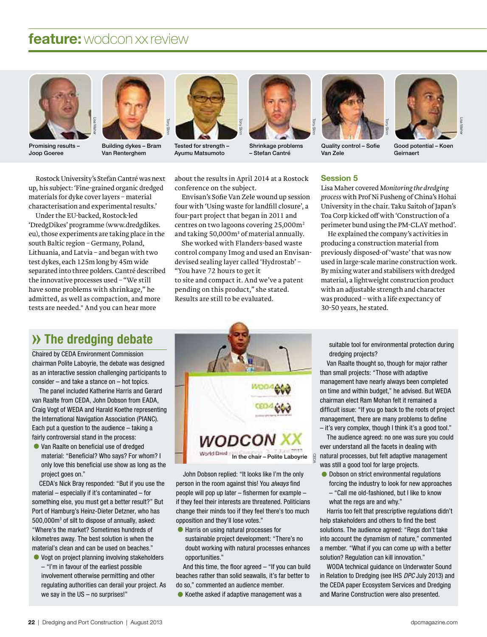



Promising results – Joop Goeree

Building dykes – Bram Van Renterghem

Tony Slinn



Tested for strength – Ayumu Matsumoto



Shrinkage problems – Stefan Cantré



Quality control – Sofie Van Zele



Lisa Maher

Good potential – Koen Geirnaert

Rostock University's Stefan Cantré was next up, his subject: 'Fine-grained organic dredged materials for dyke cover layers–material characterisation and experimental results.'

Under the EU-backed, Rostock-led 'DredgDikes' programme (www.dredgdikes. eu), those experiments are taking place in the south Baltic region – Germany, Poland, Lithuania, and Latvia–and began with two test dykes, each 125m long by 45m wide separated into three polders. Cantré described the innovative processes used – "We still have some problems with shrinkage," he admitted, as well as compaction, and more tests are needed." And you can hear more

about the results in April 2014 at a Rostock conference on the subject.

Envisan's Sofie Van Zele wound up session four with 'Using waste for landfill closure', a four-part project that began in 2011 and centres on two lagoons covering 25,000m<sup>2</sup> and taking 50,000m<sup>3</sup> of material annually.

She worked with Flanders-based waste control company Imog and used an Envisandevised sealing layer called 'Hydrostab' – "You have 72 hours to get it to site and compact it. And we've a patent pending on this product," she stated. Results are still to be evaluated.

#### Session 5

Lisa Maher covered *Monitoring the dredging process* with Prof Ni Fusheng of China's Hohai University in the chair. Taku Saitoh of Japan's Toa Corp kicked off with 'Construction of a perimeter bund using the PM-CLAY method'.

He explained the company's activities in producing a construction material from previously disposed-of 'waste' that was now used in large-scale marine construction work. By mixing water and stabilisers with dredged material, a lightweight construction product with an adjustable strength and character was produced - with a life expectancy of 30-50 years, he stated.

## **» The dredging debate**

Chaired by CEDA Environment Commission chairman Polite Laboyrie, the debate was designed as an interactive session challenging participants to consider – and take a stance on – hot topics.

The panel included Katherine Harris and Gerard van Raalte from CEDA, John Dobson from EADA, Craig Vogt of WEDA and Harald Koethe representing the International Navigation Association (PIANC). Each put a question to the audience  $-$  taking a fairly controversial stand in the process:

•Van Raalte on beneficial use of dredged material: "Beneficial? Who says? For whom? I only love this beneficial use show as long as the project goes on."

CEDA's Nick Bray responded: "But if you use the material – especially if it's contaminated – for something else, you must get a better result?" But Port of Hamburg's Heinz-Dieter Detzner, who has 500,000m<sup>3</sup> of silt to dispose of annually, asked: "Where's the market? Sometimes hundreds of kilometres away. The best solution is when the material's clean and can be used on beaches." •Vogt on project planning involving stakeholders

– "I'm in favour of the earliest possible involvement otherwise permitting and other regulating authorities can derail your project. As we say in the US – no surprises!"



John Dobson replied: "It looks like I'm the only person in the room against this! You always find people will pop up later – fishermen for example – if they feel their interests are threatened. Politicians change their minds too if they feel there's too much opposition and they'll lose votes."

•Harris on using natural processes for sustainable project development: "There's no doubt working with natural processes enhances opportunities."

And this time, the floor agreed – "If you can build beaches rather than solid seawalls, it's far better to do so," commented an audience member.

•Koethe asked if adaptive management was a

suitable tool for environmental protection during dredging projects?

Van Raalte thought so, though for major rather than small projects: "Those with adaptive management have nearly always been completed on time and within budget," he advised. But WEDA chairman elect Ram Mohan felt it remained a difficult issue: "If you go back to the roots of project management, there are many problems to define  $-$  it's very complex, though I think it's a good tool."

The audience agreed: no one was sure you could ever understand all the facets in dealing with natural processes, but felt adaptive management was still a good tool for large projects.

•Dobson on strict environmental regulations forcing the industry to look for new approaches – "Call me old-fashioned, but I like to know what the regs are and why."

Harris too felt that prescriptive regulations didn't help stakeholders and others to find the best solutions. The audience agreed: "Regs don't take into account the dynamism of nature," commented a member. "What if you can come up with a better solution? Regulation can kill innovation."

WODA technical guidance on Underwater Sound in Relation to Dredging (see IHS DPC July 2013) and the CEDA paper Ecosystem Services and Dredging and Marine Construction were also presented.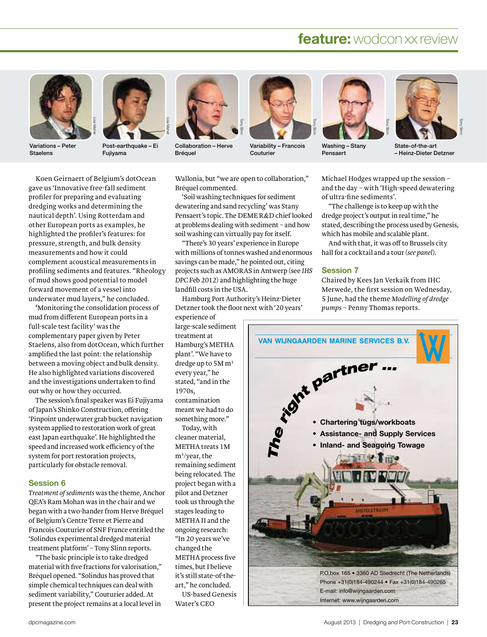

Variations – Peter Staelens



Post-earthquake - Ei Fujiyama



Collaboration – Herve Bréquel



Variability – Francois Couturier



Washing – Stany Pensaert



State-of-the-art – Heinz-Dieter Detzner

Koen Geirnaert of Belgium's dotOcean gave us 'Innovative free-fall sediment profiler for preparing and evaluating dredging works and determining the nautical depth'. Using Rotterdam and other European ports as examples, he highlighted the profiler's features: for pressure, strength, and bulk density measurements and how it could complement acoustical measurements in profiling sediments and features. "Rheology of mud shows good potential to model forward movement ofavessel into underwater mud layers," he concluded.

'Monitoring the consolidation process of mud from different European ports in a full-scale test facility' was the complementary paper given by Peter Staelens, also from dotOcean, which further amplified the last point: the relationship between a moving object and bulk density. He also highlighted variations discovered and the investigations undertaken to find out why or how they occurred.

The session's final speaker was Ei Fujiyama of Japan's Shinko Construction, offering 'Pinpoint underwater grab bucket navigation system applied to restoration work of great east Japan earthquake'. He highlighted the speed and increased work efficiency of the system for port restoration projects, particularly for obstacle removal.

#### Session 6

*Treatment of sediments* was the theme, Anchor QEA's Ram Mohan was in the chair and we began with a two-hander from Herve Bréquel of Belgium's Centre Terre et Pierre and Francois Couturier of SNF France entitled the 'Solindus experimental dredged material treatment platform' – Tony Slinn reports.

"The basic principle is to take dredged material with five fractions for valorisation," Bréquel opened. "Solindus has proved that simple chemical techniques can deal with sediment variability," Couturier added. At present the project remains at a local level in Wallonia, but "we are open to collaboration," Bréquel commented.

'Soil washing techniques for sediment dewatering and sand recycling' was Stany Pensaert's topic. The DEME R&D chief looked at problems dealing with sediment–and how soil washing can virtually pay for itself.

"There's 30 years' experience in Europe with millions of tonnes washed and enormous savings can be made," he pointed out, citing projects such as AMORAS in Antwerp (see *IHS DPC* Feb 2012) and highlighting the huge landfill costs in the USA.

Hamburg Port Authority's Heinz-Dieter Detzner took the floor next with '20 years' experience of

large-scale sediment treatment at Hamburg's METHA plant'. "We have to dredge up to 5M m<sup>3</sup> every year," he stated, "and in the 1970s, contamination meant we had to do something more."

Today, with cleaner material, METHA treats 1M m<sup>3</sup> /year,the remaining sediment being relocated. The project began with a pilot and Detzner took us through the stages leading to METHA II and the ongoing research: "In 20 years we've changed the METHA process five times, but I believe it's still state-of-theart," he concluded. US-based Genesis

Water's CEO

Michael Hodges wrapped up the session – and the day–with 'High-speed dewatering of ultra-fine sediments'.

"The challenge is to keep up with the dredge project's output in real time," he stated, describing the process used by Genesis, which has mobile and scalable plant.

And with that, it was off to Brussels city hall for a cocktail and a tour (see panel).

#### Session 7

Chaired by Kees Jan Verkaik from IHC Merwede, the first session on Wednesday, 5 June, had the theme *Modelling of dredge pumps* – Penny Thomas reports.

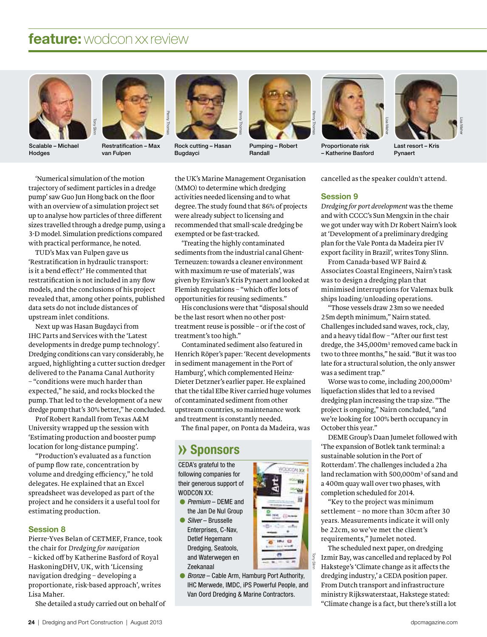



Scalable – Michael Hodges

Restratification – Max van Fulpen



Rock cutting – Hasan Bugdayci



Pumping – Robert Randall



Proportionate risk – Katherine Basford



Lisa Maher

Last resort Pynaert

'Numerical simulation ofthe motion trajectory of sediment particles in a dredge pump' saw Guo Jun Hong back on the floor with an overview of a simulation project set up to analyse how particles of three different sizes travelled through a dredge pump, using a 3-D model. Simulation predictions compared with practical performance, he noted.

TUD's Max van Fulpen gave us 'Restratification in hydraulic transport: is it a bend effect?' He commented that restratification is not included in any flow models, and the conclusions of his project revealed that, among other points, published data sets do not include distances of upstream inlet conditions.

Next up was Hasan Bugdayci from IHC Parts and Services with the 'Latest developments in dredge pump technology'. Dredging conditions can vary considerably, he argued, highlighting a cutter suction dredger delivered to the Panama Canal Authority – "conditions were much harder than expected," he said, and rocks blocked the pump. That led to the development of a new dredge pump that's 30% better," he concluded.

Prof Robert Randall from Texas A&M University wrapped up the session with 'Estimating production and booster pump location for long-distance pumping'.

"Production's evaluated as a function of pump flow rate, concentration by volume and dredging efficiency," he told delegates. He explained that an Excel spreadsheet was developed as part of the project and he considers it a useful tool for estimating production.

#### Session 8

Pierre-Yves Belan of CETMEF, France, took the chair for *Dredging for navigation* – kicked off by Katherine Basford of Royal HaskoningDHV, UK, with 'Licensing navigation dredging – developing a proportionate, risk-based approach', writes Lisa Maher.

She detailed a study carried out on behalf of

the UK's Marine Management Organisation (MMO) to determine which dredging activities needed licensing and to what degree. The study found that 86% of projects were already subject to licensing and recommended that small-scale dredging be exempted or be fast-tracked.

'Treating the highly contaminated sediments from the industrial canal Ghent-Terneuzen:towardsacleaner environment with maximum re-use of materials', was given by Envisan's Kris Pynaert and looked at Flemish regulations–"which offer lots of opportunities for reusing sediments."

His conclusions were that "disposal should be the last resort when no other posttreatment reuse is possible–or if the cost of treatment's too high."

Contaminated sediment also featured in Henrich Röper's paper: 'Recent developments in sediment management in the Port of Hamburg', which complemented Heinz-Dieter Detzner's earlier paper. He explained that the tidal Elbe River carried huge volumes of contaminated sediment from other upstream countries, so maintenance work and treatment is constantly needed.

The final paper, on Ponta da Madeira, was

## **» Sponsors**

CEDA's grateful to the following companies for their generous support of WODCON XX:

- Premium DEME and the Jan De Nul Group
- Silver Brusselle Enterprises, C-Nav, Detlef Hegemann Dredging, Seatools, and Waterwegen en Zeekanaal
- end Waterwegen en<br>
Zeekanaal<br>
 *Bronze* Cable Arm, Hamburg Port Authority,<br>
IHC Merwede, IMDC, iPS Powerful People, and<br>
Van Oord Dredging & Marine Contractors. IHC Merwede, IMDC, iPS Powerful People, and





The scheduled next paper, on dredging Izmir Bay, was cancelled and replaced by Pol Hakstege's 'Climate change as it affects the

dredging industry,' a CEDA position paper. From Dutch transport and infrastructure ministry Rijkswaterstaat, Hakstege stated: "Climate change is a fact, but there's still a lot

cancelled as the speaker couldn't attend.

#### Session 9

*Dredging for port development* was the theme and with CCCC's Sun Mengxin in the chair we got under way with Dr Robert Nairn's look at'Development of a preliminary dredging plan for the Vale Ponta da Madeira pier IV export facility in Brazil', writes Tony Slinn.

From Canada-based WF Baird & Associates Coastal Engineers, Nairn's task was to design a dredging plan that minimised interruptions for Valemax bulk ships loading/unloading operations.

"Those vessels draw 23m so we needed 25m depth minimum," Nairn stated. Challenges included sand waves, rock, clay, and a heavy tidal flow - "After our first test dredge, the 345,000m<sup>3</sup> removed came back in two to three months," he said. "But it was too late for a structural solution, the only answer was a sediment trap."

Worse was to come, including 200,000m<sup>3</sup> liquefaction slides that led to a revised dredging plan increasing the trap size. "The project is ongoing," Nairn concluded, "and we're looking for 100% berth occupancy in October this year."

DEME Group's Daan Jumelet followed with 'The expansion of Botlek tank terminal: a sustainable solution in the Port of Rotterdam'. The challenges included a 2ha land reclamation with 500,000m<sup>3</sup> of sand and a 400m quay wall over two phases, with completion scheduled for 2014.

"Key to the project was minimum settlement – no more than 30cm after 30 years. Measurements indicate it will only be 22cm, so we've met the client's requirements," Jumelet noted.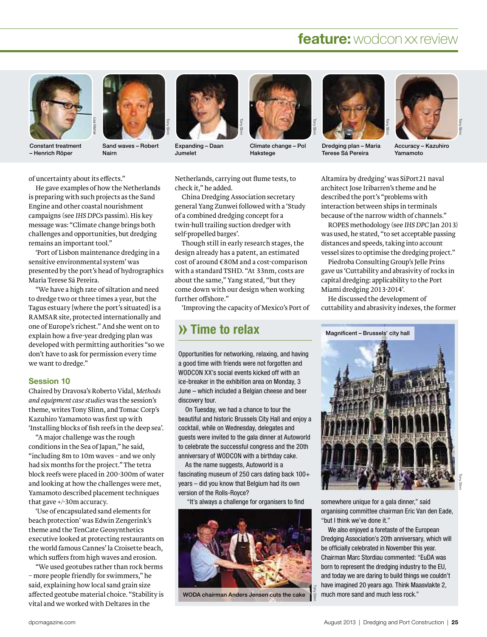

– Henrich Röper



Nairn

Tony Slinn

Sand waves–Robert

Expanding – Daan Jumelet



Tony Slinn

Climate change–Pol Hakstege



Dredging plan – Maria Terese Sá Pereira



Tony Slinn

Accuracy – Kazuhiro Yamamoto

of uncertainty about its effects."

He gave examples of how the Netherlands is preparing with such projects as the Sand Engine and other coastal nourishment campaigns (see *IHS DPC*s passim). His key message was: "Climate change brings both challenges and opportunities, but dredging remains an important tool."

'Port of Lisbon maintenance dredging in a sensitive environmental system' was presented by the port's head of hydrographics Maria Terese Sá Pereira.

"We have a high rate of siltation and need to dredge two or three times a year, but the Tagus estuary [where the port's situated] is a RAMSAR site, protected internationally and one of Europe's richest." And she went on to explain how a five-year dredging plan was developed with permitting authorities "so we don't have to ask for permission every time we want to dredge."

#### Session 10

Chaired by Dravosa's Roberto Vidal, *Methods and equipment case studies* was the session's theme, writes Tony Slinn, and Tomac Corp's Kazuhiro Yamamoto was first up with 'Installing blocks of fish reefs in the deep sea'.

"A major challenge was the rough conditions in the Sea of Japan," he said, "including 8m to 10m waves–and we only had six months for the project." The tetra block reefs were placed in 200-300m of water and looking at how the challenges were met, Yamamoto described placement techniques that gave +/-30m accuracy.

'Use of encapsulated sand elements for beach protection' was Edwin Zengerink's theme and the TenCate Geosynthetics executive looked at protecting restaurants on the world famous Cannes' la Croisette beach, which suffers from high waves and erosion.

"We used geotubes rather than rock berms – more people friendly for swimmers," he said, explaining how local sand grain size affected geotube material choice. "Stability is vital and we worked with Deltares in the

Netherlands, carrying out flume tests,to check it," he added.

China Dredging Association secretary general Yang Zunwei followed with a 'Study of a combined dredging concept for a twin-hull trailing suction dredger with self-propelled barges'.

Though still in early research stages, the design already has a patent, an estimated cost of around €80M and a cost-comparison with a standard TSHD. "At 33nm, costs are about the same," Yang stated, "but they come down with our design when working further offshore."

'Improving the capacity of Mexico's Port of

## **» Time to relax**

Opportunities for networking, relaxing, and having a good time with friends were not forgotten and WODCON XX's social events kicked off with an ice-breaker in the exhibition area on Monday, 3 June – which included a Belgian cheese and beer discovery tour.

On Tuesday, we had a chance to tour the beautiful and historic Brussels City Hall and enjoy a cocktail, while on Wednesday, delegates and guests were invited to the gala dinner at Autoworld to celebrate the successful congress and the 20th anniversary of WODCON with a birthday cake.

As the name suggests, Autoworld is a fascinating museum of 250 cars dating back 100+ years – did you know that Belgium had its own version of the Rolls-Royce?

"It's always a challenge for organisers to find somewhere unique for a gala dinner," said



WODA chairman Anders Jensen cuts the cake

Slinn

Altamira by dredging' was SiPort21 naval architect Jose Iribarren's theme and he described the port's "problems with interaction between ships in terminals because of the narrow width of channels."

ROPES methodology (see *IHS DPC* Jan 2013) was used, he stated, "to set acceptable passing distances and speeds, taking into account vessel sizes to optimise the dredging project."

Piedroba Consulting Group's Jelle Prins gave us 'Cuttability and abrasivity of rocks in capital dredging: applicability to the Port Miami dredging 2013-2014'.

He discussed the development of cuttability and abrasivity indexes, the former



organising committee chairman Eric Van den Eade, "but I think we've done it."

We also enjoyed a foretaste of the European Dredging Association's 20th anniversary, which will be officially celebrated in November this year. Chairman Marc Stordiau commented: "EuDA was born to represent the dredging industry to the EU, and today we are daring to build things we couldn't have imagined 20 years ago. Think Maasvlakte 2, much more sand and much less rock."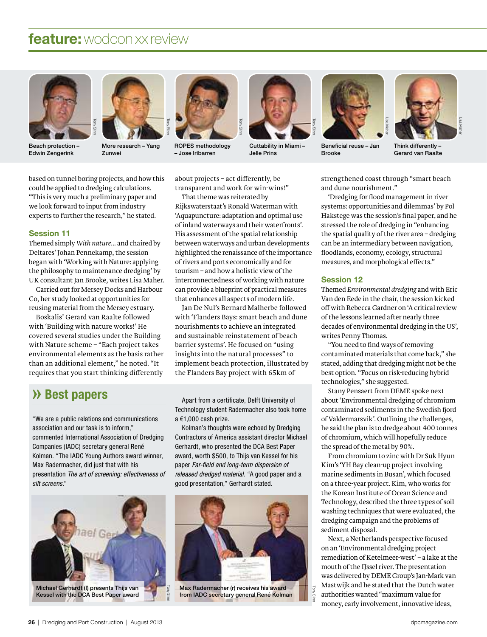



Beach protection – Edwin Zengerink

More research–Yang Zunwei

Tony Slinn



ROPES methodology – Jose Iribarren



Cuttability in Miami – Jelle Prins



Beneficial reuse – Jan Brooke



Think differently – Gerard van Raalte

based on tunnel boring projects, and how this could be applied to dredging calculations. "This is very much a preliminary paper and we look forward to input from industry experts to further the research," he stated.

#### Session 11

Themed simply *With nature*… and chaired by Deltares' Johan Pennekamp, the session began with 'Working with Nature: applying the philosophy to maintenance dredging' by UK consultant Jan Brooke, writes Lisa Maher.

Carried out for Mersey Docks and Harbour Co, her study looked at opportunities for reusing material from the Mersey estuary.

Boskalis' Gerard van Raalte followed with 'Building with nature works!' He covered several studies under the Building with Nature scheme – "Each project takes environmental elements as the basis rather than an additional element," he noted. "It requires that you start thinking differently about projects–act differently, be transparent and work for win-wins!"

That theme was reiterated by Rijkswaterstaat's Ronald Waterman with 'Aquapuncture: adaptation and optimal use ofinland waterways and their waterfronts'. His assessment of the spatial relationship between waterways and urban developments highlighted the renaissance of the importance ofrivers and ports economically and for tourism–and how a holistic view of the interconnectedness of working with nature can provide a blueprint of practical measures that enhances all aspects of modern life.

Jan De Nul's Bernard Malherbe followed with 'Flanders Bays: smart beach and dune nourishments to achieve an integrated and sustainable reinstatement of beach barrier systems'. He focused on "using insights into the natural processes" to implement beach protection, illustrated by the Flanders Bay project with 65km of

## **» Best papers**

"We are a public relations and communications association and our task is to inform," commented International Association of Dredging Companies (IADC) secretary general René Kolman. "The IADC Young Authors award winner, Max Radermacher, did just that with his presentation The art of screening: effectiveness of silt screens."



Kessel with the DCA Best Paper award

Apart from a certificate, Delft University of Technology student Radermacher also took home a €1,000 cash prize.

Kolman's thoughts were echoed by Dredging Contractors of America assistant director Michael Gerhardt, who presented the DCA Best Paper award, worth \$500, to Thijs van Kessel for his paper Far-field and long-term dispersion of released dredged material. "A good paper and a good presentation," Gerhardt stated.



Max Radermacher (r) receives his award from IADC secretary general René Kolman

Tony Slinn strengthened coast through "smart beach and dune nourishment."

'Dredging for flood managementin river systems: opportunities and dilemmas' by Pol Hakstege was the session's final paper, and he stressed the role of dredging in "enhancing the spatial quality of the river area – dredging can be an intermediary between navigation, floodlands, economy, ecology, structural measures, and morphological effects."

#### Session 12

Themed *Environmental dredging* and with Eric Van den Eede in the chair, the session kicked off with Rebecca Gardner on 'A critical review ofthe lessons learned after nearly three decades of environmental dredging in the US', writes Penny Thomas.

"You need to find ways of removing contaminated materials that come back," she stated, adding that dredging might not be the best option. "Focus on risk-reducing hybrid technologies," she suggested.

Stany Pensaert from DEME spoke next about 'Environmental dredging of chromium contaminated sediments in the Swedish fjord of Valdermarsvik'. Outlining the challenges, he said the plan is to dredge about 400 tonnes of chromium, which will hopefully reduce the spread of the metal by 90%.

From chromium to zinc with Dr Suk Hyun Kim's 'YH Bay clean-up project involving marine sediments in Busan', which focused on a three-year project. Kim, who works for the Korean Institute of Ocean Science and Technology, described the three types of soil washing techniques that were evaluated, the dredging campaign and the problems of sediment disposal.

Next, a Netherlands perspective focused on an 'Environmental dredging project remediation of Ketelmeer-west'–alake at the mouth of the IJssel river. The presentation was delivered by DEME Group's Jan-Mark van Mastwijk and he stated that the Dutch water authorities wanted "maximum value for money, early involvement, innovative ideas,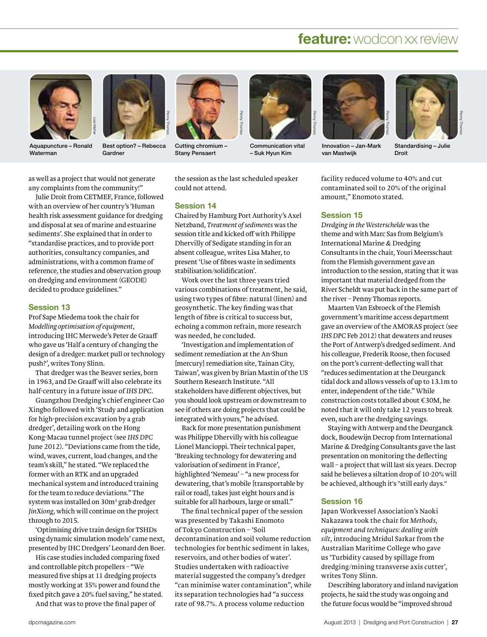

Aquapuncture – Ronald Waterman



Best option?–Rebecca Gardner



Cutting chromium – Stany Pensaert



Communication vital – Suk Hyun Kim



Innovation – Jan-Mark van Mastwijk



Standardising – Julie Droit

as well as a project that would not generate any complaints from the community!"

Julie Droit from CETMEF, France, followed with an overview of her country's 'Human health risk assessment guidance for dredging and disposal at sea of marine and estuarine sediments'. She explained that in order to "standardise practices, and to provide port authorities, consultancy companies, and administrations, with a common frame of reference, the studies and observation group on dredging and environment (GEODE) decided to produce guidelines."

#### Session 13

Prof Sape Miedema took the chair for *Modelling optimisation of equipment*, introducing IHC Merwede's Peter de Graaff who gave us 'Half a century of changing the design of a dredger: market pull or technology push?', writes Tony Slinn.

That dredger was the Beaver series, born in 1963, and De Graaff will also celebrate its half-century in a future issue of *IHS DPC*.

Guangzhou Dredging's chief engineer Cao Xingbo followed with 'Study and application for high-precision excavation by a grab dredger', detailing work on the Hong Kong-Macau tunnel project (see *IHS DPC* June 2012). "Deviations came from the tide, wind, waves, current, load changes, and the team's skill," he stated. "We replaced the former with an RTK and an upgraded mechanical system and introduced training for the team to reduce deviations." The system was installed on 30m<sup>3</sup> grab dredger *JinXiong*, which will continue on the project through to 2015.

'Optimising drive train design for TSHDs using dynamic simulation models' came next, presented by IHC Dredgers' Leonard den Boer.

His case studies included comparing fixed and controllable pitch propellers – "We measured five ships at 11 dredging projects mostly working at 35% power and found the fixed pitch gave a 20% fuel saving," he stated. And that was to prove the final paper of

the session as the last scheduled speaker could not attend.

#### Session 14

Chaired by Hamburg Port Authority's Axel Netzband, *Treatment of sediments* was the session title and kicked off with Philippe Dhervilly of Sedigate standing in for an absent colleague, writes Lisa Maher, to present 'Use of fibres waste in sediments stabilisation/solidification'.

Work over the last three years tried various combinations of treatment, he said, using two types of fibre: natural (linen) and geosynthetic. The key finding was that length of fibre is critical to success but, echoing a common refrain, more research was needed, he concluded.

'Investigation and implementation of sediment remediation at the An-Shun [mercury] remediation site, Tainan City, Taiwan', was given by Brian Mastin ofthe US Southern Research Institute. "All stakeholders have different objectives, but you should look upstream or downstream to see if others are doing projects that could be integrated with yours," he advised.

Back for more presentation punishment was Philippe Dhervilly with his colleague Lionel Mancioppi. Their technical paper, 'Breaking technology for dewatering and valorisation of sediment in France', highlighted 'Nemeau' – "a new process for dewatering, that's mobile [transportable by rail or road], takes just eight hours and is suitable for all harbours, large or small."

The final technical paper of the session was presented by Takashi Enomoto of Tokyo Construction – 'Soil decontamination and soil volume reduction technologies for benthic sediment in lakes, reservoirs, and other bodies of water'. Studies undertaken with radioactive material suggested the company's dredger "can minimise water contamination", while its separation technologies had "a success rate of 98.7%. A process volume reduction

facility reduced volume to 40% and cut contaminated soil to 20% of the original amount," Enomoto stated.

#### Session 15

*Dredging in the Westerschelde* was the theme and with Marc Sas from Belgium's International Marine & Dredging Consultants in the chair, Youri Meersschaut from the Flemish government gave an introduction to the session, stating that it was important that material dredged from the River Scheldt was put back in the same part of the river – Penny Thomas reports.

Maarten Van Esbroeck ofthe Flemish government's maritime access department gave an overview of the AMORAS project (see IHS DPC Feb 2012) that dewaters and reuses the Port of Antwerp's dredged sediment. And his colleague, Frederik Roose, then focused on the port's current-deflecting wall that "reduces sedimentation at the Deurganck tidal dock and allows vessels of up to 13.1m to enter, independent of the tide." While construction costs totalled about €30M, he noted that it will only take 12 years to break even, such are the dredging savings.

Staying with Antwerp and the Deurganck dock, Boudewijn Decrop from International Marine & Dredging Consultants gave the last presentation on monitoring the deflecting wall - a project that will last six years. Decrop said he believes a siltation drop of 10-20% will be achieved, although it's "still early days."

#### Session 16

Japan Workvessel Association's Naoki Nakazawa took the chair for *Methods, equipment and techniques: dealing with silt*, introducing Mridul Sarkar from the Australian Maritime College who gave us 'Turbidity caused by spillage from dredging/mining transverse axis cutter', writes Tony Slinn.

Describing laboratory and inland navigation projects, he said the study was ongoing and the future focus would be "improved shroud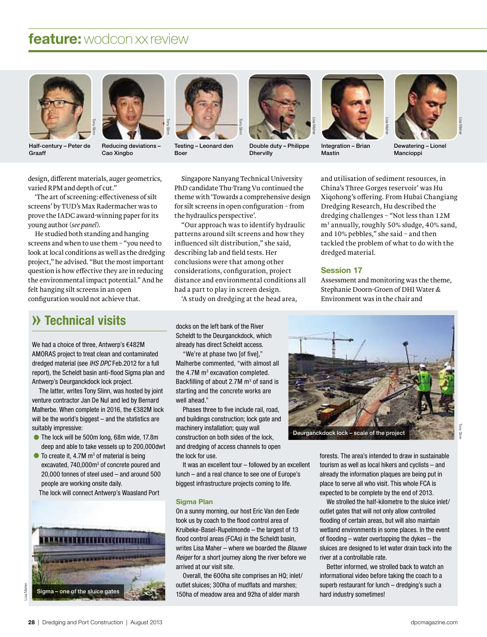

Half-century – Peter de<br>Graaff



Reducing deviations – Cao Xingbo



Testing – Leonard den Boer



Double duty – Philippe **Dhervilly** 



Integration – Brian Mastin



Lisa Maher

Dewatering – Lionel Mancioppi

design, different materials, auger geometrics, varied RPM and depth of cut."

'The art of screening: effectiveness of silt screens' by TUD's Max Radermacher was to prove the IADC award-winning paperfor its young author (*see panel*).

He studied both standing and hanging screens and when to use them – "you need to look at local conditions as well as the dredging project," he advised. "But the mostimportant question is how effective they are in reducing the environmental impact potential." And he felt hanging silt screens in an open configuration would not achieve that.

## **» Technical visits**

We had a choice of three, Antwerp's €482M we nad a cnoice of three, Antwerp's €482M<br>AMORAS project to treat clean and contaminated AMURAS project to treat clean and contaminated<br>dredged material (see *IHS DPC* Feb.2012 for a full areagea material (see *IHS DPC* Feb.2012 for a full<br>report), the Scheldt basin anti-flood Sigma plan and twerp's Deurganckdock lock project.

Antwerp's beurganckdock lock project.<br>The latter, writes Tony Slinn, was hosted by joint rne latter, writes Tony Silnn, was nosted by Joli<br>venture contractor Jan De Nul and led by Bernard venture contractor Jan De Nui and led by Bernard<br>Malherbe. When complete in 2016, the €382M lock mainerbe. When complete in 2016, the  $\epsilon$ 382M lood<br>will be the world's biggest – and the statistics are suitably impressive: •The lock will be 500m long, 68m wide, 17.8m<br>■The lock will be 500m long, 68m wide, 17.8m

- ock will be 500m long, 68m wide, 17.8m<br>and able to take vessels up to 200,000dwt deep and able to take vessels up to 200,<br>  $\bullet$  To create it, 4.7M  $m^3$  of material is being
- 10 create it, 4.7M m° of material is being<br>excavated, 740,000m<sup>3</sup> of concrete poured and excavated, 740,000m° of concrete poured and<br>20,000 tonnes of steel used – and around 500  $20,000$  tonnes or steel used  $-$  a<br>people are working onsite daily.

The lock will connect Antwerp's Waasland Port



Singapore Nanyang Technical University PhD candidate Thu-Trang Vu continued the theme with 'Towards a comprehensive design for silt screens in open configuration – from the hydraulics perspective'.

Tony Slinn

"Our approach was to identify hydraulic patterns around silt screens and how they influenced silt distribution," she said, describing lab and field tests. Her conclusions were that among other considerations, configuration, project distance and environmental conditions all had a part to play in screen design.

'A study on dredging at the head area,

docks on the left bank of the River docks on the left bank of the River<br>Scheldt to the Deurganckdock, which neigt to the Deurganckdock, wn<br>eady has direct Scheldt access.

aiready nas direct Scheidt access<br>"We're at phase two [of five]," we re at phase two <sub>l</sub>or five],"<br>Malherbe commented, "with almost all mainerbe commented, "with aimos<br>the 4.7M m<sup>3</sup> excavation completed. the 4.7M m° excavation completed.<br>Backfilling of about 2.7M m<sup>3</sup> of sand is Backfilling of about 2.7M m° of sand<br>starting and the concrete works are irting and<br>Il ahead.<mark>"</mark>

well anead."<br>Phases three to five include rail, road, phases three to five include rail, road,<br>and buildings construction; lock gate and and buildings construction; lock<br>machinery installation; quay wall macninery installation; quay wall<br>construction on both sides of the lock, and dredging of access channels to open a areaging of<br>elock for use<mark>.</mark>

tne lock tor use.<br>It was an excellent tour – followed by an excellent it was an excellent tour – tollowed by an excel<br>lunch – and a real chance to see one of Europe's biggest infrastructure projects coming to life.

#### Sigma Plan

**Sigma Pian**<br>On a sunny morning, our host Eric Van den Eede un a sunny morning, our nost Eric van den E<br>took us by coach to the flood control area of took us by coach to the flood control area of<br>Kruibeke-Basel-Rupelmonde – the largest of 13 Kruibeke-Basel-Rupelmonde – the largest of 1:<br>flood control areas (FCAs) in the Scheldt basin, writes Lisa Maher - where we boarded the Blauwe writes Lisa maner – where we boarded the *Blauwe*<br>*Reiger* for a short journey along the river before we *iger* for a snort jourr<br>ived at our visit site.

arrived at our visit site.<br>Overall, the 600ha site comprises an HQ; inlet/ overall, the 600na site comprises an HQ; ink<br>;outlet sluices; 300ha of mudflats and marshes 150ha of meadow area and 92ha of alder marsh

and utilisation of sediment resources, in China's Three Gorges reservoir' was Hu Xiqohong's offering. From Hubai Changiang Dredging Research, Hu described the dredging challenges–"Not less than 12M m<sup>3</sup> annually, roughly 50% sludge, 40% sand, and 10% pebbles," she said – and then tackled the problem of what to do with the dredged material.

#### Session 17

Assessment and monitoring was the theme, Stephanie Doorn-Groen of DHI Water & Environment was in the chair and



forests. The area's intended to draw in sustainable rorests. The area's intended to draw in sustainab<br>tourism as well as local hikers and cyclists – and tourism as well as local nikers and cyclists – an<br>already the information plaques are being put in aiready the information plaques are being put<br>place to serve all who visit. This whole FCA is ice to serve all who visit. This whole FCA i<br>pected to be complete by the end of 2013.

expected to be complete by the end of 2013.<br>We strolled the half-kilometre to the sluice inlet/ we strolled the naif-kilometre to the sluice<br>outlet gates that will not only allow controlled outiet gates that will not only allow controlled<br>flooding of certain areas, but will also maintain tlooding ot certain areas, but will also maintain<br>wetland environments in some places. In the event wetland environments in some places. In the ev<br>of flooding – water overtopping the dykes – the or nooding – water overtopping the dykes – the<br>sluices are designed to let water drain back into the er at a controllable rate.

river at a controllable rate.<br>Better informed, we strolled back to watch an Better informed, we strolled back to watch all<br>informational video before taking the coach to a informational video before taking the coach to a<br>superb restaurant for lunch – dredging's such a hard industry sometimes!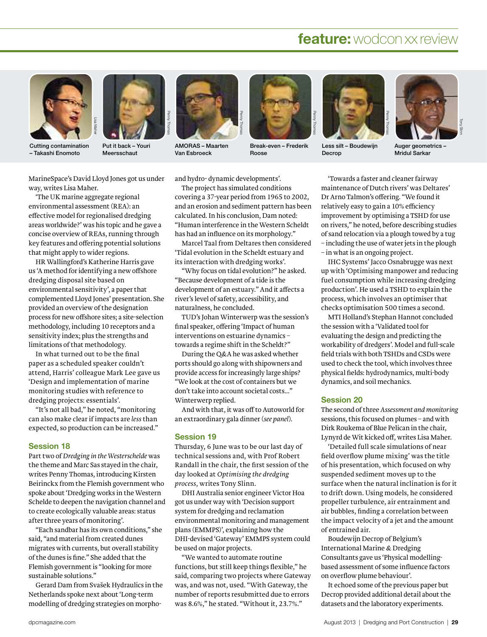

Cutting contamination – Takashi Enomoto



Put it back – Youri Meersschaut



AMORAS – Maarten Van Esbroeck



Break-even–Frederik Roose



Less silt – Boudewijn Decrop



Auger geometrics – Mridul Sarkar

MarineSpace's David Lloyd Jones got us under way, writes Lisa Maher.

'The UK marine aggregate regional environmental assessment (REA): an effective model for regionalised dredging areas worldwide?' was his topic and he gave a concise overview of REAs, running through key features and offering potential solutions that might apply to wider regions.

HR Wallingford's Katherine Harris gave us 'A method for identifying a new offshore dredging disposal site based on environmental sensitivity', a paperthat complemented Lloyd Jones' presentation. She provided an overview of the designation process for new offshore sites; a site-selection methodology, including 10 receptors and a sensitivity index; plus the strengths and limitations of that methodology.

In what turned out to be the final paper as a scheduled speaker couldn't attend, Harris' colleague Mark Lee gave us 'Design and implementation of marine monitoring studies with reference to dredging projects: essentials'.

"It's not all bad," he noted, "monitoring can also make clear if impacts are *less* than expected, so production can be increased."

#### Session 18

Part two of *Dredging* in the Westerschelde was the theme and Marc Sas stayed in the chair, writes Penny Thomas, introducing Kirsten Beirinckx from the Flemish government who spoke about'Dredging works in the Western Schelde to deepen the navigation channel and to create ecologically valuable areas: status after three years of monitoring'.

"Each sandbar has its own conditions," she said, "and material from created dunes migrates with currents, but overall stability ofthe dunes is fine." She added that the Flemish government is "looking for more sustainable solutions."

Gerard Dam from Svašek Hydraulics in the Netherlands spoke next about'Long-term modelling of dredging strategies on morphoand hydro- dynamic developments'.

The project has simulated conditions covering a 37-year period from 1965 to 2002, and an erosion and sediment pattern has been calculated. In his conclusion, Dam noted: "Human interference in the Western Scheldt has had an influence on its morphology."

Marcel Taal from Deltares then considered 'Tidal evolution in the Scheldt estuary and its interaction with dredging works'.

"Why focus on tidal evolution?" he asked. "Because development of a tide is the development of an estuary." And it affects a river's level of safety, accessibility, and naturalness, he concluded.

TUD's Johan Winterwerp was the session's final speaker, offering 'Impact of human interventions on estuarine dynamics – towards a regime shift in the Scheldt?"

During the Q&A he was asked whether ports should go along with shipowners and provide access for increasingly large ships? "We look at the cost of containers but we don't take into account societal costs…" Winterwerp replied.

And with that, it was off to Autoworld for an extraordinary gala dinner(*see panel*).

#### Session 19

Thursday, 6 June was to be our last day of technical sessions and, with Prof Robert Randall in the chair, the first session of the day looked at *Optimising the dredging process*, writes Tony Slinn.

DHI Australia senior engineer Victor Hoa got us under way with 'Decision support system for dredging and reclamation environmental monitoring and management plans (EMMPS)', explaining how the DHI-devised 'Gateway' EMMPS system could be used on major projects.

"We wanted to automate routine functions, but still keep things flexible," he said, comparing two projects where Gateway was, and was not, used. "With Gateway, the number of reports resubmitted due to errors was 8.6%," he stated. "Without it, 23.7%."

'Towards a faster and cleaner fairway maintenance of Dutch rivers' was Deltares' Dr Arno Talmon's offering. "We found it relatively easy to gain a 10% efficiency improvement by optimising a TSHD for use on rivers," he noted, before describing studies of sand relocation via a plough towed by a tug – including the use of water jets in the plough – in what is an ongoing project.

IHC Systems' Jacco Osnabrugge was next up with 'Optimising manpower and reducing fuel consumption while increasing dredging production'. He used a TSHD to explain the process, which involves an optimiser that checks optimisation 500 times a second.

MTI Holland's Stephan Hannot concluded the session with a 'Validated tool for evaluating the design and predicting the workability of dredgers'. Model and full-scale field trials with both TSHDs and CSDs were used to check the tool, which involves three physical fields: hydrodynamics, multi-body dynamics, and soil mechanics.

#### Session 20

The second of three *Assessment and monitoring* sessions, this focused on plumes - and with Dirk Roukema of Blue Pelican in the chair, Lynyrd de Wit kicked off, writes Lisa Maher.

'Detailed full scale simulations of near field overflow plume mixing' was the title of his presentation, which focused on why suspended sediment moves up to the surface when the natural inclination is for it to drift down. Using models, he considered propeller turbulence, air entrainment and air bubbles, finding a correlation between the impact velocity of a jet and the amount of entrained air.

Boudewijn Decrop of Belgium's International Marine & Dredging Consultants gave us 'Physical modellingbased assessment of some influence factors on overflow plume behaviour'.

It echoed some of the previous paper but Decrop provided additional detail about the datasets and the laboratory experiments.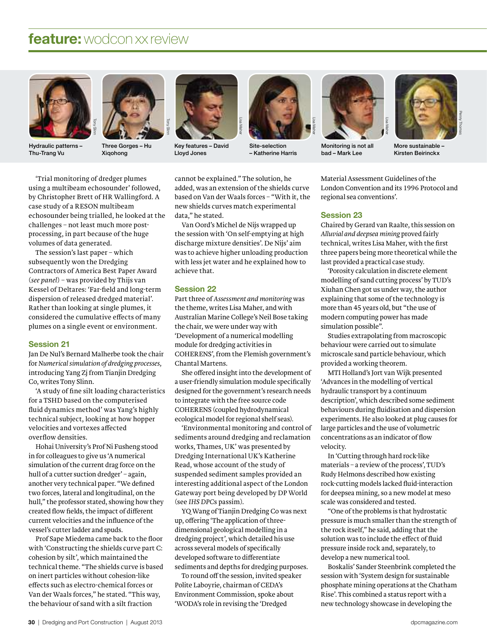

Hydraulic patterns – Thu-Trang Vu



Three Gorges – Hu Xiqohong



as dia asteroid as dia asteroid as dia as dia asteroid as dia asteroid as dia asteroid as dia as dia as dia a<br>A Credit Credit Credit Credit Credit Credit Credit Credit Credit Credit Credit Credit Credit Credit Credit Cre<br>A Key features–David Lloyd Jones



Site-selection – Katherine Harris



Monitoring is not all bad – Mark Lee

Lisa Maher



More sustainable – Kirsten Beirinckx

'Trial monitoring of dredger plumes using a multibeam echosounder' followed, by Christopher Brett of HR Wallingford. A case study of a RESON multibeam echosounder being trialled, he looked at the challenges–not least much more postprocessing, in part because of the huge volumes of data generated.

The session's last paper–which subsequently won the Dredging Contractors of America Best Paper Award (*see panel*)–was provided by Thijs van Kessel of Deltares: 'Far-field and long-term dispersion of released dredged material'. Rather than looking at single plumes, it considered the cumulative effects of many plumes on a single event or environment.

#### Session 21

Jan De Nul's Bernard Malherbe took the chair for *Numerical simulation of dredging processes*, introducing Yang Zj from Tianjin Dredging Co, writes Tony Slinn.

'A study of fine silt loading characteristics for a TSHD based on the computerised fluid dynamics method' was Yang's highly technical subject, looking at how hopper velocities and vortexes affected overflow densities.

Hohai University's Prof Ni Fusheng stood in for colleagues to give us 'A numerical simulation of the current drag force on the hull of a cutter suction dredger' – again, another very technical paper. "We defined two forces, lateral and longitudinal, on the hull," the professor stated, showing how they created flow fields, the impact of different current velocities and the influence of the vessel's cutter ladder and spuds.

Prof Sape Miedema came back to the floor with 'Constructing the shields curve part C: cohesion by silt', which maintained the technical theme. "The shields curve is based on inert particles without cohesion-like effects such as electro-chemical forces or Van der Waals forces," he stated. "This way, the behaviour of sand with a silt fraction

cannot be explained." The solution, he added, was an extension of the shields curve based on Van der Waals forces – "With it, the new shields curves match experimental data," he stated.

Van Oord's Michel de Nijs wrapped up the session with 'On self-emptying at high discharge mixture densities'. De Nijs' aim was to achieve higher unloading production with less jet water and he explained how to achieve that.

#### Session 22

Part three of *Assessment and monitoring* was the theme, writes Lisa Maher, and with Australian Marine College's Neil Bose taking the chair, we were under way with 'Development of a numerical modelling module for dredging activities in COHERENS', from the Flemish government's Chantal Martens.

She offered insight into the development of a user-friendly simulation module specifically designed for the government's research needs to integrate with the free source code COHERENS (coupled hydrodynamical ecological model for regional shelf seas).

'Environmental monitoring and control of sediments around dredging and reclamation works, Thames, UK' was presented by Dredging International UK's Katherine Read, whose account of the study of suspended sediment samples provided an interesting additional aspect of the London Gateway port being developed by DP World (see *IHS DPC*s passim).

YQ Wang of Tianjin Dredging Co was next up, offering 'The application ofthreedimensional geological modelling in a dredging project', which detailed his use across several models of specifically developed software to differentiate sediments and depths for dredging purposes.

To round off the session, invited speaker Polite Laboyrie, chairman of CEDA's Environment Commission, spoke about 'WODA's role in revising the 'Dredged

Material Assessment Guidelines ofthe London Convention and its 1996 Protocol and regional sea conventions'.

#### Session 23

Chaired by Gerard van Raalte, this session on *Alluvial and deepsea mining* proved fairly technical, writes Lisa Maher, with the first three papers being more theoretical while the last provided a practical case study.

'Porosity calculation in discrete element modelling of sand cutting process' by TUD's Xiuhan Chen got us under way, the author explaining that some of the technology is more than 45 years old, but "the use of modern computing power has made simulation possible".

Studies extrapolating from macroscopic behaviour were carried out to simulate microscale sand particle behaviour, which provided a working theorem.

MTI Holland's Jort van Wijk presented 'Advances in the modelling of vertical hydraulic transport by a continuum description', which described some sediment behaviours during fluidisation and dispersion experiments. He also looked at plug causes for large particles and the use of volumetric concentrations as an indicator of flow velocity.

In 'Cutting through hard rock-like materials – a review of the process', TUD's Rudy Helmons described how existing rock-cutting models lacked fluid-interaction for deepsea mining, so a new model at meso scale was considered and tested.

"One of the problems is that hydrostatic pressure is much smaller than the strength of the rock itself," he said, adding that the solution was to include the effect of fluid pressure inside rock and, separately, to develop a new numerical tool.

Boskalis' Sander Steenbrink completed the session with 'System design for sustainable phosphate mining operations at the Chatham Rise'. This combined a status report with a new technology showcase in developing the